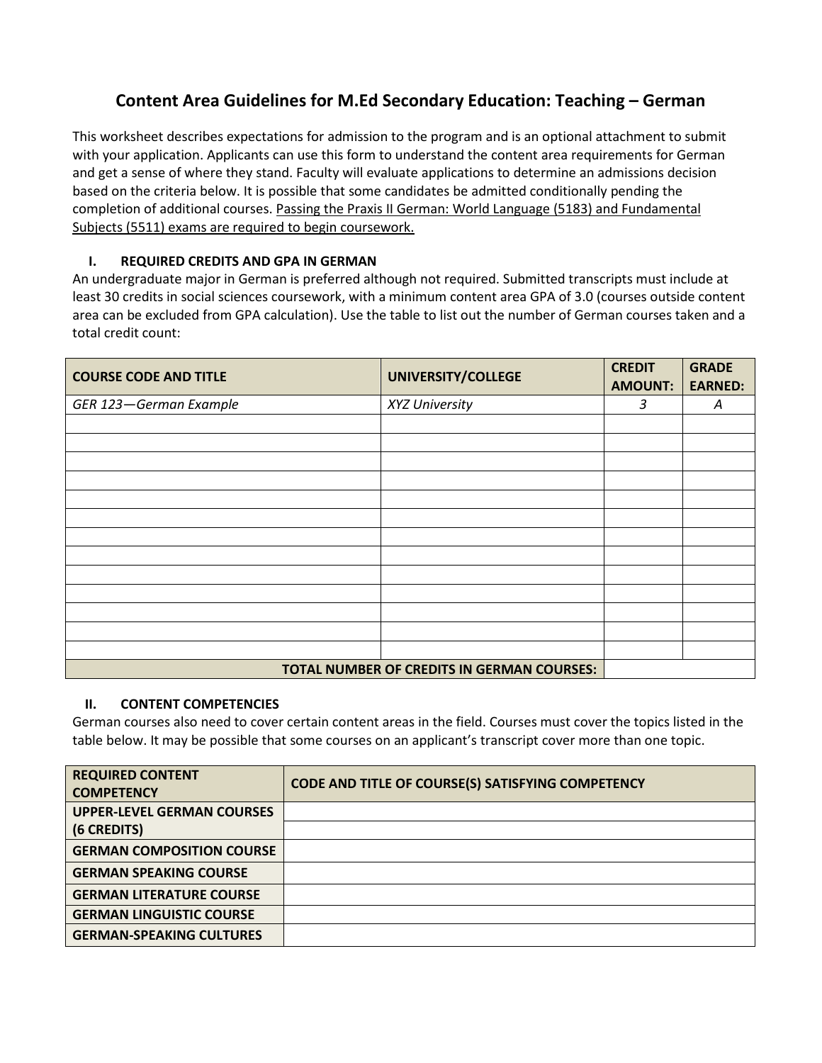## **Content Area Guidelines for M.Ed Secondary Education: Teaching – German**

This worksheet describes expectations for admission to the program and is an optional attachment to submit with your application. Applicants can use this form to understand the content area requirements for German and get a sense of where they stand. Faculty will evaluate applications to determine an admissions decision based on the criteria below. It is possible that some candidates be admitted conditionally pending the completion of additional courses. Passing the Praxis II German: World Language (5183) and Fundamental Subjects (5511) exams are required to begin coursework.

## **I. REQUIRED CREDITS AND GPA IN GERMAN**

An undergraduate major in German is preferred although not required. Submitted transcripts must include at least 30 credits in social sciences coursework, with a minimum content area GPA of 3.0 (courses outside content area can be excluded from GPA calculation). Use the table to list out the number of German courses taken and a total credit count:

| <b>COURSE CODE AND TITLE</b> | UNIVERSITY/COLLEGE                         | <b>CREDIT</b><br><b>AMOUNT:</b> | <b>GRADE</b><br><b>EARNED:</b> |
|------------------------------|--------------------------------------------|---------------------------------|--------------------------------|
| GER 123-German Example       | XYZ University                             | 3                               | A                              |
|                              |                                            |                                 |                                |
|                              |                                            |                                 |                                |
|                              |                                            |                                 |                                |
|                              |                                            |                                 |                                |
|                              |                                            |                                 |                                |
|                              |                                            |                                 |                                |
|                              |                                            |                                 |                                |
|                              |                                            |                                 |                                |
|                              |                                            |                                 |                                |
|                              |                                            |                                 |                                |
|                              |                                            |                                 |                                |
|                              |                                            |                                 |                                |
|                              |                                            |                                 |                                |
|                              | TOTAL NUMBER OF CREDITS IN GERMAN COURSES: |                                 |                                |

## **II. CONTENT COMPETENCIES**

German courses also need to cover certain content areas in the field. Courses must cover the topics listed in the table below. It may be possible that some courses on an applicant's transcript cover more than one topic.

| <b>REQUIRED CONTENT</b><br><b>COMPETENCY</b> | CODE AND TITLE OF COURSE(S) SATISFYING COMPETENCY |
|----------------------------------------------|---------------------------------------------------|
| <b>UPPER-LEVEL GERMAN COURSES</b>            |                                                   |
| (6 CREDITS)                                  |                                                   |
| <b>GERMAN COMPOSITION COURSE</b>             |                                                   |
| <b>GERMAN SPEAKING COURSE</b>                |                                                   |
| <b>GERMAN LITERATURE COURSE</b>              |                                                   |
| <b>GERMAN LINGUISTIC COURSE</b>              |                                                   |
| <b>GERMAN-SPEAKING CULTURES</b>              |                                                   |